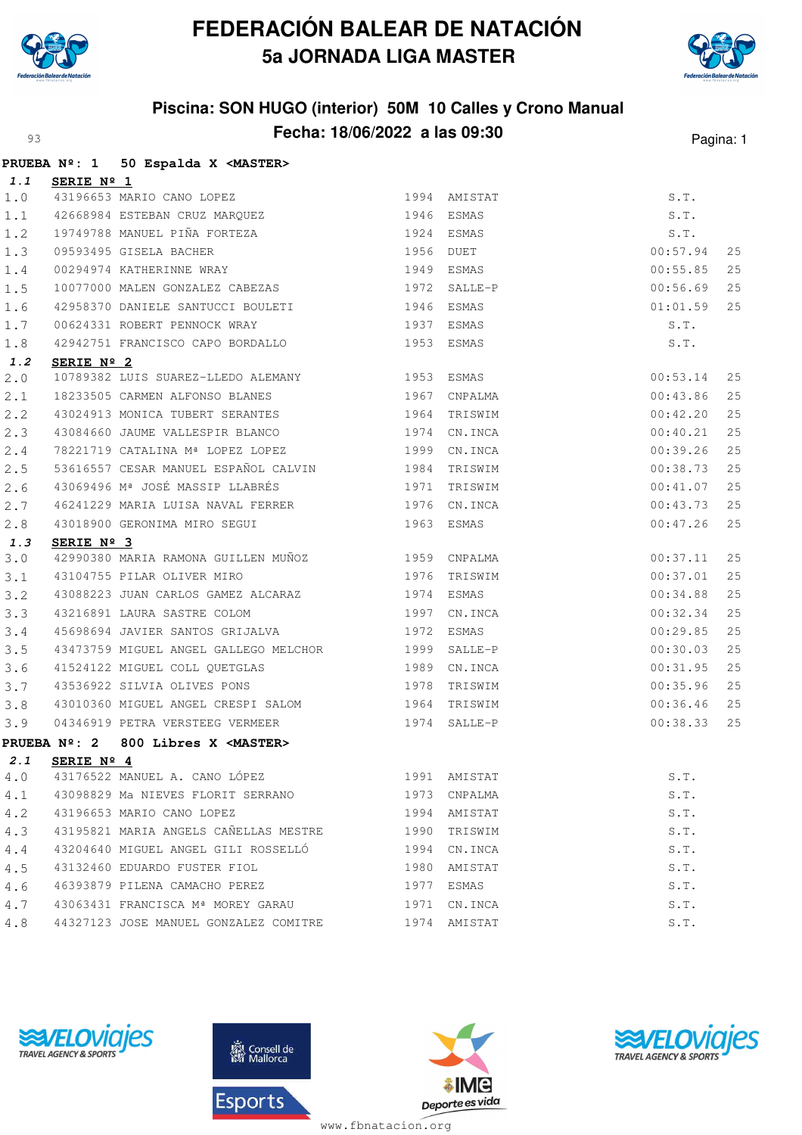

## **FEDERACIÓN BALEAR DE NATACIÓN 5a JORNADA LIGA MASTER**



## **Piscina: SON HUGO (interior) 50M 10 Calles y Crono Manual Fecha: 18/06/2022 a las 09:30** Pagina: 1

|       |                | PRUEBA Nº: 1 50 Espalda X <master></master>                                                                                                                                                            |              |              |          |    |
|-------|----------------|--------------------------------------------------------------------------------------------------------------------------------------------------------------------------------------------------------|--------------|--------------|----------|----|
|       | 1.1 SERIE Nº 1 |                                                                                                                                                                                                        |              |              |          |    |
| 1.0   |                |                                                                                                                                                                                                        |              |              | S.T.     |    |
| 1.1   |                |                                                                                                                                                                                                        |              |              | S.T.     |    |
| 1.2   |                |                                                                                                                                                                                                        |              |              | S.T.     |    |
| 1.3   |                |                                                                                                                                                                                                        |              |              | 00:57.94 | 25 |
| $1.4$ |                | <b>SERIE Nº 1</b><br>43196653 MARIO CANO LOPEZ<br>42668984 ESTEBAN CRUZ MARQUEZ<br>19749788 MANUEL PIÑA FORTEZA<br>19749788 MANUEL PIÑA FORTEZA<br>1974 ESMAS<br>1979 SALLER 1949 ESMAS<br>1972 SALLER |              |              | 00:55.85 | 25 |
| 1.5   |                | 10077000 MALEN GONZALEZ CABEZAS 6 1972 SALLE-P                                                                                                                                                         |              |              | 00:56.69 | 25 |
| 1.6   |                | 42958370 DANIELE SANTUCCI BOULETI 1946 ESMAS                                                                                                                                                           |              |              | 01:01.59 | 25 |
| 1.7   |                | 00624331 ROBERT PENNOCK WRAY 1937 ESMAS                                                                                                                                                                |              |              | S.T.     |    |
| $1.8$ |                | 42942751 FRANCISCO CAPO BORDALLO 1953 ESMAS                                                                                                                                                            |              |              | S.T.     |    |
| 1.2   | SERIE Nº 2     |                                                                                                                                                                                                        |              |              |          |    |
| 2.0   |                | 10789382 LUIS SUAREZ-LLEDO ALEMANY 1953 ESMAS                                                                                                                                                          |              |              | 00:53.14 | 25 |
| 2.1   |                | 18233505 CARMEN ALFONSO BLANES 1967 CNPALMA                                                                                                                                                            |              |              | 00:43.86 | 25 |
| 2.2   |                | 43024913 MONICA TUBERT SERANTES 1964 TRISWIM                                                                                                                                                           |              |              | 00:42.20 | 25 |
| 2.3   |                | 43084660 JAUME VALLESPIR BLANCO<br>43084660 JAUME VALLESPIR BLANCO<br>1974 CN.INCA                                                                                                                     |              |              | 00:40.21 | 25 |
| 2.4   |                | 78221719 CATALINA Mª LOPEZ LOPEZ 1999 CN.INCA                                                                                                                                                          |              |              | 00:39.26 | 25 |
| 2.5   |                | 53616557 CESAR MANUEL ESPAÑOL CALVIN 1984 TRISWIM                                                                                                                                                      |              |              | 00:38.73 | 25 |
| 2.6   |                | 43069496 Mª JOSÉ MASSIP LLABRÉS (1971 TRISWIM                                                                                                                                                          |              |              | 00:41.07 | 25 |
| 2.7   |                | 46241229 MARIA LUISA NAVAL FERRER 1976 CN.INCA                                                                                                                                                         |              |              | 00:43.73 | 25 |
| 2.8   |                | 43018900 GERONIMA MIRO SEGUI 1963 ESMAS                                                                                                                                                                |              |              | 00:47.26 | 25 |
| 1.3   | SERIE Nº 3     |                                                                                                                                                                                                        |              |              |          |    |
| 3.0   |                | 42990380 MARIA RAMONA GUILLEN MUÑOZ 1959 CNPALMA                                                                                                                                                       |              |              | 00:37.11 | 25 |
| 3.1   |                | 43104755 PILAR OLIVER MIRO                                                                                                                                                                             | 1976 TRISWIM |              | 00:37.01 | 25 |
| 3.2   |                | 43088223 JUAN CARLOS GAMEZ ALCARAZ 1974 ESMAS                                                                                                                                                          |              |              | 00:34.88 | 25 |
| 3.3   |                | 43216891 LAURA SASTRE COLOM 1997 CN.INCA                                                                                                                                                               |              |              | 00:32.34 | 25 |
| 3.4   |                | 45698694 JAVIER SANTOS GRIJALVA 1972 ESMAS                                                                                                                                                             |              |              | 00:29.85 | 25 |
| 3.5   |                | 43473759 MIGUEL ANGEL GALLEGO MELCHOR 1999 SALLE-P                                                                                                                                                     |              |              | 00:30.03 | 25 |
| 3.6   |                | 41524122 MIGUEL COLL QUETGLAS 1989 CN.INCA                                                                                                                                                             |              |              | 00:31.95 | 25 |
| 3.7   |                | 43536922 SILVIA OLIVES PONS 1978 TRISWIM                                                                                                                                                               |              |              | 00:35.96 | 25 |
| 3.8   |                | 43010360 MIGUEL ANGEL CRESPI SALOM 1964 TRISWIM                                                                                                                                                        |              |              | 00:36.46 | 25 |
| 3.9   |                | 04346919 PETRA VERSTEEG VERMEER 1974 SALLE-P                                                                                                                                                           |              |              | 00:38.33 | 25 |
|       |                | PRUEBA Nº: 2 800 Libres X <master></master>                                                                                                                                                            |              |              |          |    |
|       |                | 2.1 SERIE Nº 4                                                                                                                                                                                         |              |              |          |    |
| 4.0   |                | 43176522 MANUEL A. CANO LÓPEZ                                                                                                                                                                          | 1991 AMISTAT |              | S.T.     |    |
|       |                | 4.1 43098829 Ma NIEVES FLORIT SERRANO                                                                                                                                                                  |              | 1973 CNPALMA | S.T.     |    |
| 4.2   |                | 43196653 MARIO CANO LOPEZ                                                                                                                                                                              | 1994 AMISTAT |              | S.T.     |    |
| 4.3   |                | 43195821 MARIA ANGELS CAÑELLAS MESTRE 1990 TRISWIM                                                                                                                                                     |              |              | S.T.     |    |
| 4.4   |                | 43204640 MIGUEL ANGEL GILI ROSSELLÓ 1994 CN.INCA                                                                                                                                                       |              |              | S.T.     |    |
| 4.5   |                | 43132460 EDUARDO FUSTER FIOL                                                                                                                                                                           |              | 1980 AMISTAT | S.T.     |    |
| 4.6   |                | 46393879 PILENA CAMACHO PEREZ                                                                                                                                                                          | 1977 ESMAS   |              | S.T.     |    |
| 4.7   |                | 43063431 FRANCISCA Mª MOREY GARAU 1971 CN.INCA                                                                                                                                                         |              |              | S.T.     |    |
| 4.8   |                | 44327123 JOSE MANUEL GONZALEZ COMITRE 1974 AMISTAT                                                                                                                                                     |              |              | S.T.     |    |
|       |                |                                                                                                                                                                                                        |              |              |          |    |









www.fbnatacion.org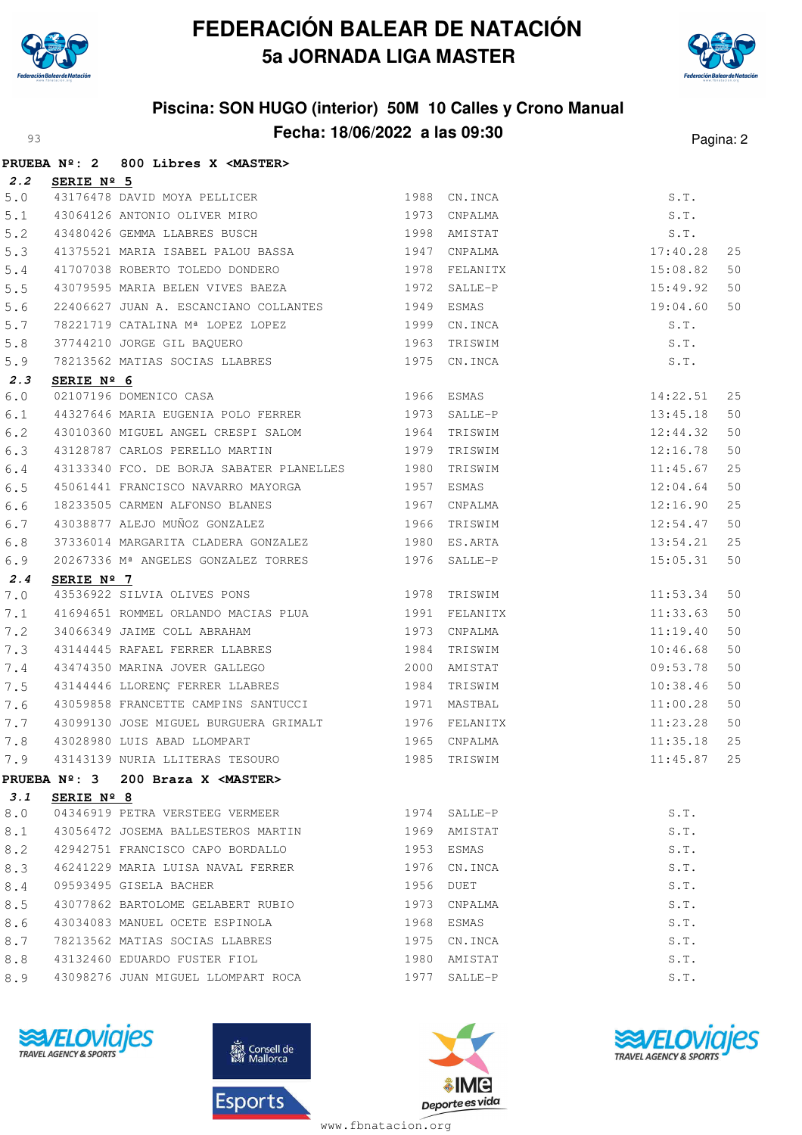

#### **FEDERACIÓN BALEAR DE NATACIÓN 5a JORNADA LIGA MASTER**



## **Piscina: SON HUGO (interior) 50M 10 Calles y Crono Manual Fecha: 18/06/2022 a las 09:30** Pagina: 2

|       |                     | PRUEBA Nº: 2 800 Libres X <master></master>                                                                            |           |              |                                        |    |
|-------|---------------------|------------------------------------------------------------------------------------------------------------------------|-----------|--------------|----------------------------------------|----|
| 2.2   | SERIE Nº 5          |                                                                                                                        |           |              |                                        |    |
| $5.0$ |                     |                                                                                                                        |           |              | S.T.                                   |    |
| 5.1   |                     |                                                                                                                        |           |              | S.T.                                   |    |
| 5.2   |                     | 43176478 DAVID MOYA PELLICER<br>43064126 ANTONIO OLIVER MIRO 1973 CNPALMA<br>43480426 GEMMA LLABRES BUSCH 1998 AMISTAT |           |              | S.T.                                   |    |
| 5.3   |                     | 41375521 MARIA ISABEL PALOU BASSA 6 1947 CNPALMA                                                                       |           |              | 17:40.28                               | 25 |
| 5.4   |                     | 41707038 ROBERTO TOLEDO DONDERO 1978 FELANITX                                                                          |           |              | $15:08.82$<br>$15:49.92$               | 50 |
| 5.5   |                     | 43079595 MARIA BELEN VIVES BAEZA 6 1972 SALLE-P                                                                        |           |              |                                        | 50 |
| 5.6   |                     | 22406627 JUAN A. ESCANCIANO COLLANTES 1949 ESMAS                                                                       |           |              | 19:04.60                               | 50 |
| 5.7   |                     |                                                                                                                        |           |              | S.T.                                   |    |
| $5.8$ |                     |                                                                                                                        |           |              | S.T.                                   |    |
| 5.9   |                     | 1999 CN.INCA 37744210 JORGE GIL BAQUERO 1963 TRISWIM<br>1963 TRISWIM 78213562 MATIAS SOCIAS LLABRES 1975 CN.INCA       |           |              | S.T.                                   |    |
| 2.3   | SERIE Nº 6          |                                                                                                                        |           |              |                                        |    |
| 6.0   |                     | <b>SERIE Nº 6</b><br>02107196 DOMENICO CASA 1966 ESMAS<br>44327646 MARIA EUGENIA POLO FERRER 1973 SALLE-P              |           |              | 14:22.51                               | 25 |
| 6.1   |                     |                                                                                                                        |           |              | 13:45.18                               | 50 |
| 6.2   |                     | 43010360 MIGUEL ANGEL CRESPI SALOM 1964 TRISWIM                                                                        |           |              | $12:44.32$<br>$12:16.78$               | 50 |
| 6.3   |                     | 43128787 CARLOS PERELLO MARTIN 1979 TRISWIM                                                                            |           |              |                                        | 50 |
| 6.4   |                     | 43133340 FCO. DE BORJA SABATER PLANELLES 1980 TRISWIM                                                                  |           |              | 11:45.67                               | 25 |
| 6.5   |                     | 45061441 FRANCISCO NAVARRO MAYORGA 1957 ESMAS                                                                          |           |              |                                        | 50 |
| 6.6   |                     |                                                                                                                        |           |              | $12:04.64$<br>$12:16.90$<br>$12:54.47$ | 25 |
| 6.7   |                     |                                                                                                                        |           |              |                                        | 50 |
| 6.8   |                     | 37336014 MARGARITA CLADERA GONZALEZ 1980 ES.ARTA                                                                       |           |              | 13:54.21                               | 25 |
| 6.9   |                     | 20267336 Mª ANGELES GONZALEZ TORRES 1976 SALLE-P                                                                       |           |              | 15:05.31                               | 50 |
| 2.4   | SERIE $N^{\circ}$ 7 |                                                                                                                        |           |              |                                        |    |
| 7.0   |                     | 43536922 SILVIA OLIVES PONS 1978 TRISWIM                                                                               |           |              | 11:53.34                               | 50 |
| 7.1   |                     | 41694651 ROMMEL ORLANDO MACIAS PLUA 1991 FELANITX                                                                      |           |              | 11:33.63                               | 50 |
| 7.2   |                     | 34066349 JAIME COLL ABRAHAM 1973 CNPALMA                                                                               |           |              | 11:19.40                               | 50 |
| 7.3   |                     | 43144445 RAFAEL FERRER LLABRES<br>43474350 MARINA JOVER GALLEGO 1984 TRISWIM                                           |           |              | 10:46.68                               | 50 |
| 7.4   |                     |                                                                                                                        |           |              | 09:53.78                               | 50 |
| 7.5   |                     | 43144446 LLORENÇ FERRER LLABRES 1984 TRISWIM                                                                           |           |              | 10:38.46                               | 50 |
| 7.6   |                     | 43059858 FRANCETTE CAMPINS SANTUCCI 1971 MASTBAL                                                                       |           |              | 11:00.28                               | 50 |
| 7.7   |                     | 43099130 JOSE MIGUEL BURGUERA GRIMALT 1976 FELANITX                                                                    |           |              | 11:23.28                               | 50 |
| 7.8   |                     | 43028980 LUIS ABAD LLOMPART 1965 CNPALMA<br>43143139 NURIA LLITERAS TESOURO 1985 TRISWIM                               |           |              | $11:35.18$<br>$11:45.87$               | 25 |
| 7.9   |                     |                                                                                                                        |           |              | 11:45.87 25                            |    |
|       |                     | PRUEBA Nº: 3 200 Braza X < MASTER>                                                                                     |           |              |                                        |    |
| 3.1   | SERIE Nº 8          |                                                                                                                        |           |              |                                        |    |
| 8.0   |                     | 04346919 PETRA VERSTEEG VERMEER                                                                                        |           | 1974 SALLE-P | S.T.                                   |    |
| 8.1   |                     | 43056472 JOSEMA BALLESTEROS MARTIN                                                                                     |           | 1969 AMISTAT | S.T.                                   |    |
| 8.2   |                     | 42942751 FRANCISCO CAPO BORDALLO                                                                                       | 1953      | ESMAS        | S.T.                                   |    |
| 8.3   |                     | 46241229 MARIA LUISA NAVAL FERRER                                                                                      | 1976      | CN.INCA      | S.T.                                   |    |
| 8.4   |                     | 09593495 GISELA BACHER                                                                                                 | 1956 DUET |              | S.T.                                   |    |
| 8.5   |                     | 43077862 BARTOLOME GELABERT RUBIO                                                                                      | 1973      | CNPALMA      | S.T.                                   |    |
| 8.6   |                     | 43034083 MANUEL OCETE ESPINOLA                                                                                         |           | 1968 ESMAS   | S.T.                                   |    |
| 8.7   |                     | 78213562 MATIAS SOCIAS LLABRES                                                                                         |           | 1975 CN.INCA | S.T.                                   |    |
| 8.8   |                     | 43132460 EDUARDO FUSTER FIOL                                                                                           |           | 1980 AMISTAT | S.T.                                   |    |
| 8.9   |                     | 43098276 JUAN MIGUEL LLOMPART ROCA                                                                                     |           | 1977 SALLE-P | S.T.                                   |    |









www.fbnatacion.org